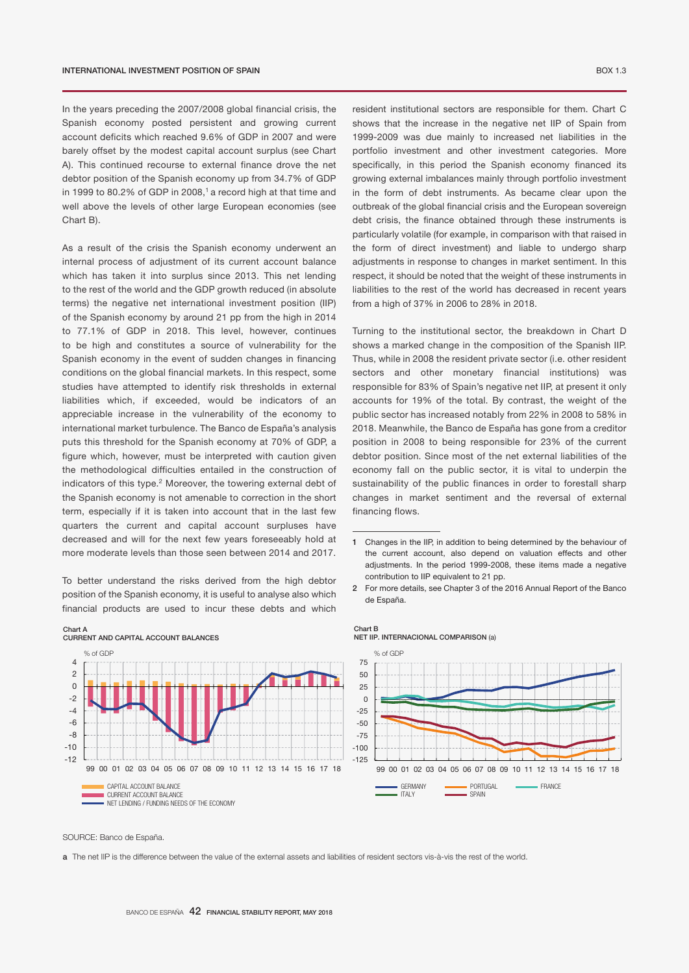In the years preceding the 2007/2008 global financial crisis, the Spanish economy posted persistent and growing current account deficits which reached 9.6% of GDP in 2007 and were barely offset by the modest capital account surplus (see Chart A). This continued recourse to external finance drove the net debtor position of the Spanish economy up from 34.7% of GDP 4 in 1999 to 80.2% of GDP in 2008, $1$  a record high at that time and well above the levels of other large European economies (see Chart B). 2

As a result of the crisis the Spanish economy underwent an internal process of adjustment of its current account balance which has taken it into surplus since 2013. This net lending to the rest of the world and the GDP growth reduced (in absolute terms) the negative net international investment position (IIP) of the Spanish economy by around 21 pp from the high in 2014 to 77.1% of GDP in 2018. This level, however, continues to be high and constitutes a source of vulnerability for the Spanish economy in the event of sudden changes in financing conditions on the global financial markets. In this respect, some studies have attempted to identify risk thresholds in external liabilities which, if exceeded, would be indicators of an appreciable increase in the vulnerability of the economy to international market turbulence. The Banco de España's analysis puts this threshold for the Spanish economy at 70% of GDP, a figure which, however, must be interpreted with caution given the methodological difficulties entailed in the construction of indicators of this type.<sup>2</sup> Moreover, the towering external debt of the Spanish economy is not amenable to correction in the short term, especially if it is taken into account that in the last few quarters the current and capital account surpluses have decreased and will for the next few years foreseeably hold at more moderate levels than those seen between 2014 and 2017.

To better understand the risks derived from the high debtor position of the Spanish economy, it is useful to analyse also which financial products are used to incur these debts and which

50 -4 75 -2  $\overline{\phantom{0}}$  $\overline{\phantom{a}}$  $\overline{\phantom{0}}$ CURRENT AND CAPITAL ACCOUNT BALANCES 99 00 01 01 02 03 04 05 05 07 08 07 08 07 08 07 08 07 08 07 08 07 08 07 08 07 08 07 08 07 08 07 08 07 07 07 07 Germany portugal frances and the second portugal framework. The second portugal framework of the second portug ITALY SPAIN  $-12$  $-10$ -8 -6 99 00 01 02 03 04 05 06 07 08 09 10 11 12 13 14 15 16 17 18 CAPITAL ACCOUNT BALANCE CURRENT ACCOUNT BALANCE NET LENDING / FUNDING NEEDS OF THE ECONOMY % of GDF

NET IIP. INTERNACIONAL COMPARISON (a) Chart B

TOTAL



SOURCE: Banco de España.

Chart A

a The net IIP is the difference between the value of the external assets and liabilities of resident sectors vis-à-vis the rest of the world.

resident institutional sectors are responsible for them. Chart C shows that the increase in the negative net IIP of Spain from 1999-2009 was due mainly to increased net liabilities in the portfolio investment and other investment categories. More specifically, in this period the Spanish economy financed its growing external imbalances mainly through portfolio investment in the form of debt instruments. As became clear upon the outbreak of the global financial crisis and the European sovereign 0 debt crisis, the finance obtained through these instruments is particularly volatile (for example, in comparison with that raised in the form of direct investment) and liable to undergo sharp adjustments in response to changes in market sentiment. In this respect, it should be noted that the weight of these instruments in respect, it should be noted that the world has decreased in recent years liabilities to the rest of the world has decreased in recent years from a high of 37% in 2006 to 28% in 2018. 50

Turning to the institutional sector, the breakdown in Chart D shows a marked change in the composition of the Spanish IIP. Thus, while in 2008 the resident private sector (i.e. other resident sectors and other monetary financial institutions) was responsible for 83% of Spain's negative net IIP, at present it only accounts for 19% of the total. By contrast, the weight of the public sector has increased notably from 22% in 2008 to 58% in 2018. Meanwhile, the Banco de España has gone from a creditor position in 2008 to being responsible for 23% of the current debtor position. Since most of the net external liabilities of the economy fall on the public sector, it is vital to underpin the sustainability of the public finances in order to forestall sharp changes in market sentiment and the reversal of external financing flows. OTHER RESIDENT SECTORS OTHER MONETARY FINANCIAL INSTITUTIONS OF THE SECTORS OTHER MONETARY FINANCIAL INSTITUTIONS

1 Changes in the IIP, in addition to being determined by the behaviour of

the current account, also depend on valuation effects and other adjustments. In the period 1999-2008, these items made a negative contribution to IIP equivalent to 21 pp.

<sup>2</sup> For more details, see Chapter 3 of the 2016 Annual Report of the Banco de España. % of GDP